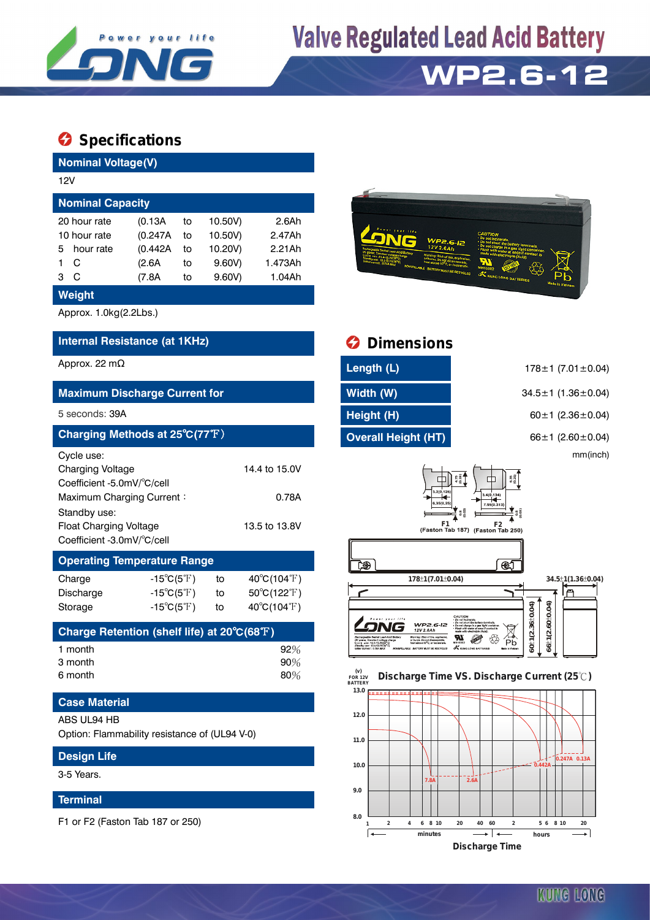

# **Valve Regulated Lead Acid Battery**

# **WP2.6-12**

### **Specifications**

| <b>Nominal Voltage(V)</b>                                                                                                                                                       |                                                                                        |                                                                                 |                                                                           |                                                                                                                                                                    |                                                                                              |  |  |  |
|---------------------------------------------------------------------------------------------------------------------------------------------------------------------------------|----------------------------------------------------------------------------------------|---------------------------------------------------------------------------------|---------------------------------------------------------------------------|--------------------------------------------------------------------------------------------------------------------------------------------------------------------|----------------------------------------------------------------------------------------------|--|--|--|
| 12V                                                                                                                                                                             |                                                                                        |                                                                                 |                                                                           |                                                                                                                                                                    |                                                                                              |  |  |  |
| <b>Nominal Capacity</b>                                                                                                                                                         |                                                                                        |                                                                                 |                                                                           |                                                                                                                                                                    |                                                                                              |  |  |  |
| 20 hour rate<br>10 hour rate<br>hour rate<br>5<br>$\mathsf{C}$<br>1.<br>3 <sup>C</sup>                                                                                          | (0.13A)<br>(0.247A)<br>(0.442A<br>(2.6A)<br>(7.8A)                                     | 10.50V)<br>to<br>10.50V)<br>to<br>10.20V)<br>to<br>9.60V)<br>to<br>9.60V)<br>to | 2.6Ah<br>2.47Ah<br>2.21Ah<br>1.473Ah<br>1.04Ah                            | <b>WP2.6-12</b>                                                                                                                                                    |                                                                                              |  |  |  |
| Weight                                                                                                                                                                          |                                                                                        |                                                                                 |                                                                           |                                                                                                                                                                    |                                                                                              |  |  |  |
| Approx. 1.0kg(2.2Lbs.)                                                                                                                                                          |                                                                                        |                                                                                 |                                                                           |                                                                                                                                                                    |                                                                                              |  |  |  |
| Internal Resistance (at 1KHz)                                                                                                                                                   |                                                                                        |                                                                                 |                                                                           | <b>Dimensions</b>                                                                                                                                                  |                                                                                              |  |  |  |
| Approx. 22 m $\Omega$                                                                                                                                                           |                                                                                        |                                                                                 |                                                                           | Length (L)                                                                                                                                                         | $178 \pm 1$ (7.01 $\pm$ 0.04)                                                                |  |  |  |
| <b>Maximum Discharge Current for</b>                                                                                                                                            |                                                                                        |                                                                                 |                                                                           | Width (W)                                                                                                                                                          | 34.5±1 (1.36±0.04)                                                                           |  |  |  |
| 5 seconds: 39A                                                                                                                                                                  |                                                                                        |                                                                                 |                                                                           | Height (H)                                                                                                                                                         | 60±1 (2.36±0.04)                                                                             |  |  |  |
| Charging Methods at 25°C(77°F)                                                                                                                                                  |                                                                                        |                                                                                 |                                                                           | <b>Overall Height (HT)</b>                                                                                                                                         | 66±1 (2.60±0.04)                                                                             |  |  |  |
| Cycle use:<br><b>Charging Voltage</b><br>Coefficient -5.0mV/°C/cell<br>Maximum Charging Current:<br>Standby use:<br><b>Float Charging Voltage</b><br>Coefficient -3.0mV/°C/cell |                                                                                        |                                                                                 | 14.4 to 15.0V<br>0.78A<br>13.5 to 13.8V                                   | 口                                                                                                                                                                  | mm(inch)<br>$4.75$<br>$(0.19)$<br>3.4(0.134)<br>F1 F2 T<br>(Faston Tab 187) (Faston Tab 250) |  |  |  |
| <b>Operating Temperature Range</b>                                                                                                                                              |                                                                                        |                                                                                 |                                                                           | LÐ)                                                                                                                                                                | €                                                                                            |  |  |  |
| Charge<br>Discharge<br>Storage                                                                                                                                                  | $-15^{\circ}C(5^{\circ}F)$<br>$-15^{\circ}C(5^{\circ}F)$<br>$-15^{\circ}C(5^{\circ}F)$ | to<br>to<br>to                                                                  | $40^{\circ}C(104^{\circ}F)$<br>$50^{\circ}C(122^{\circ}F)$<br>40°C(104°F) | 178±1(7.01±0.04)                                                                                                                                                   | 34.5±1(1.36±0.04)<br>$+1(2.60 + 0.04)$<br>±1(2.36±0.04)                                      |  |  |  |
| Charge Retention (shelf life) at 20°C(68°F)                                                                                                                                     |                                                                                        |                                                                                 |                                                                           | WP2.6-12<br>12V 2.6Ah                                                                                                                                              | Pb<br>Pb                                                                                     |  |  |  |
| 1 month<br>3 month<br>6 month                                                                                                                                                   |                                                                                        |                                                                                 | 92%<br>90%<br>80%                                                         | Stendby see: 12.5-12.8V237C)<br>Initial current : 0.78/LMAX MONSPILLABLE BATTERY MUST BE RECYCLED A KUNG LONG BATTERIES<br>(v)<br><b>FOR 12V</b><br><b>BATTERY</b> | <u>ຮ</u> ູ! ຮູ<br><b>Nada in Vietram</b><br>Discharge Time VS. Discharge Current (25°C)      |  |  |  |
| <b>Case Material</b>                                                                                                                                                            |                                                                                        |                                                                                 |                                                                           | 13.0                                                                                                                                                               |                                                                                              |  |  |  |
| ABS UL94 HB<br>Option: Flammability resistance of (UL94 V-0)                                                                                                                    |                                                                                        |                                                                                 |                                                                           | 12.0<br>11.0                                                                                                                                                       |                                                                                              |  |  |  |
| <b>Design Life</b>                                                                                                                                                              |                                                                                        |                                                                                 |                                                                           |                                                                                                                                                                    | 0.247A 0.13A                                                                                 |  |  |  |

3-5 Years.

### **Terminal**

F1 or F2 (Faston Tab 187 or 250)



| <b>O</b> Dimensions           |                                                                                                                             |
|-------------------------------|-----------------------------------------------------------------------------------------------------------------------------|
| Length (L)                    | $178 \pm 1$ (7.01 $\pm$ 0.04)                                                                                               |
| Width (W)                     | $34.5 \pm 1$ (1.36 $\pm$ 0.04)                                                                                              |
| Height (H)                    | $60 \pm 1$ (2.36 $\pm$ 0.04)                                                                                                |
| <b>Overall Height (HT)</b>    | 66 $\pm$ 1 (2.60 $\pm$ 0.04)                                                                                                |
|                               | mm(inch)                                                                                                                    |
| 3.2(0.126)<br>6.35(0.25<br>F1 | $^{4.75}_{(0.19)}$<br>$6.35$<br>$(0.25)$<br>3.4(0.134)<br>7.95(0.313)<br>0.80000<br>F2<br>(Faston Tab 187) (Faston Tab 250) |
|                               | Æ                                                                                                                           |
| 178±1(7.01±0.04)              | 34.5±1(1.36±0.04)                                                                                                           |
|                               |                                                                                                                             |